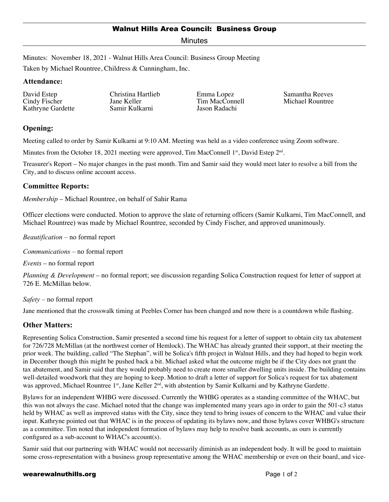## Walnut Hills Area Council: Business Group

Minutes

Minutes: November 18, 2021 - Walnut Hills Area Council: Business Group Meeting

Taken by Michael Rountree, Childress & Cunningham, Inc.

#### **Attendance:**

David Estep Cindy Fischer Kathryne Gardette

Christina Hartlieb Jane Keller Samir Kulkarni

Emma Lopez Tim MacConnell Jason Radachi

Samantha Reeves Michael Rountree

# **Opening:**

Meeting called to order by Samir Kulkarni at 9:10 AM. Meeting was held as a video conference using Zoom software.

Minutes from the October 18, 2021 meeting were approved, Tim MacConnell  $1<sup>st</sup>$ , David Estep  $2<sup>nd</sup>$ .

Treasurer's Report – No major changes in the past month. Tim and Samir said they would meet later to resolve a bill from the City, and to discuss online account access.

## **Committee Reports:**

*Membership* – Michael Rountree, on behalf of Sahir Rama

Officer elections were conducted. Motion to approve the slate of returning officers (Samir Kulkarni, Tim MacConnell, and Michael Rountree) was made by Michael Rountree, seconded by Cindy Fischer, and approved unanimously.

*Beautification* – no formal report

*Communications* – no formal report

*Events* – no formal report

*Planning & Development* – no formal report; see discussion regarding Solica Construction request for letter of support at 726 E. McMillan below.

*Safety* – no formal report

Jane mentioned that the crosswalk timing at Peebles Corner has been changed and now there is a countdown while flashing.

# **Other Matters:**

Representing Solica Construction, Samir presented a second time his request for a letter of support to obtain city tax abatement for 726/728 McMillan (at the northwest corner of Hemlock). The WHAC has already granted their support, at their meeting the prior week. The building, called "The Stephan", will be Solica's fifth project in Walnut Hills, and they had hoped to begin work in December though this might be pushed back a bit. Michael asked what the outcome might be if the City does not grant the tax abatement, and Samir said that they would probably need to create more smaller dwelling units inside. The building contains well-detailed woodwork that they are hoping to keep. Motion to draft a letter of support for Solica's request for tax abatement was approved, Michael Rountree 1<sup>st</sup>, Jane Keller 2<sup>nd</sup>, with abstention by Samir Kulkarni and by Kathryne Gardette.

Bylaws for an independent WHBG were discussed. Currently the WHBG operates as a standing committee of the WHAC, but this was not always the case. Michael noted that the change was implemented many years ago in order to gain the 501-c3 status held by WHAC as well as improved status with the City, since they tend to bring issues of concern to the WHAC and value their input. Kathryne pointed out that WHAC is in the process of updating its bylaws now, and those bylaws cover WHBG's structure as a committee. Tim noted that independent formation of bylaws may help to resolve bank accounts, as ours is currently configured as a sub-account to WHAC's account(s).

Samir said that our partnering with WHAC would not necessarily diminish as an independent body. It will be good to maintain some cross-representation with a business group representative among the WHAC membership or even on their board, and vice-

#### wearewalnuthills.org **Page 1 of 2** and 2 and 2 and 2 and 2 and 2 and 2 and 2 and 2 and 2 and 2 and 2 and 2 and 2 and 2 and 2 and 2 and 2 and 2 and 2 and 2 and 2 and 2 and 2 and 2 and 2 and 2 and 2 and 2 and 2 and 2 and 2 a